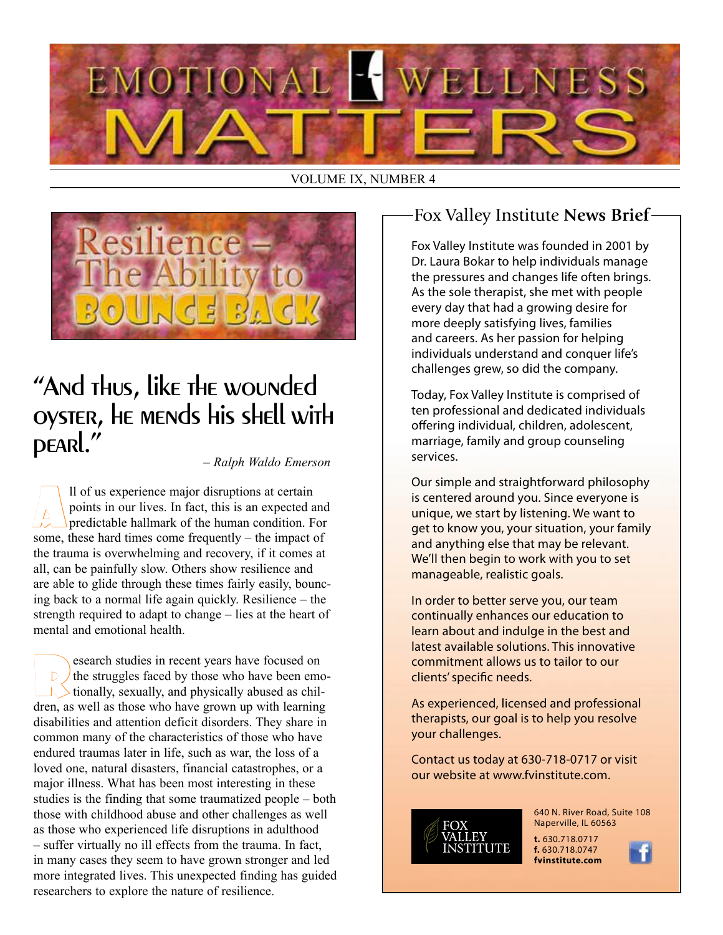

VOLUME IX, NUMBER 4



## "And thus, like the wounded oyster, he mends his shell with pearl."

#### *– Ralph Waldo Emerson*

 $\boxed{\triangle}$  II of us experience major disruptions at certain<br>points in our lives. In fact, this is an expected a<br>predictable hallmark of the human condition. F points in our lives. In fact, this is an expected and predictable hallmark of the human condition. For some, these hard times come frequently – the impact of the trauma is overwhelming and recovery, if it comes at all, can be painfully slow. Others show resilience and are able to glide through these times fairly easily, bouncing back to a normal life again quickly. Resilience – the strength required to adapt to change – lies at the heart of mental and emotional health.

Research studies in recent years have focused on the struggles faced by those who have been emotionally, sexually, and physically abused as chilthe struggles faced by those who have been emodren, as well as those who have grown up with learning disabilities and attention deficit disorders. They share in common many of the characteristics of those who have endured traumas later in life, such as war, the loss of a loved one, natural disasters, financial catastrophes, or a major illness. What has been most interesting in these studies is the finding that some traumatized people – both those with childhood abuse and other challenges as well as those who experienced life disruptions in adulthood – suffer virtually no ill effects from the trauma. In fact, in many cases they seem to have grown stronger and led more integrated lives. This unexpected finding has guided researchers to explore the nature of resilience.

## Fox Valley Institute **News Brief**

Fox Valley Institute was founded in 2001 by Dr. Laura Bokar to help individuals manage the pressures and changes life often brings. As the sole therapist, she met with people every day that had a growing desire for more deeply satisfying lives, families and careers. As her passion for helping individuals understand and conquer life's challenges grew, so did the company.

Today, Fox Valley Institute is comprised of ten professional and dedicated individuals offering individual, children, adolescent, marriage, family and group counseling services.

Our simple and straightforward philosophy is centered around you. Since everyone is unique, we start by listening. We want to get to know you, your situation, your family and anything else that may be relevant. We'll then begin to work with you to set manageable, realistic goals.

In order to better serve you, our team continually enhances our education to learn about and indulge in the best and latest available solutions. This innovative commitment allows us to tailor to our clients' specific needs.

As experienced, licensed and professional therapists, our goal is to help you resolve your challenges.

Contact us today at 630-718-0717 or visit our website at www.fvinstitute.com.



640 N. River Road, Suite 108 Naperville, IL 60563

**t.** 630.718.0717 **f.** 630.718.0747 **fvinstitute.com**

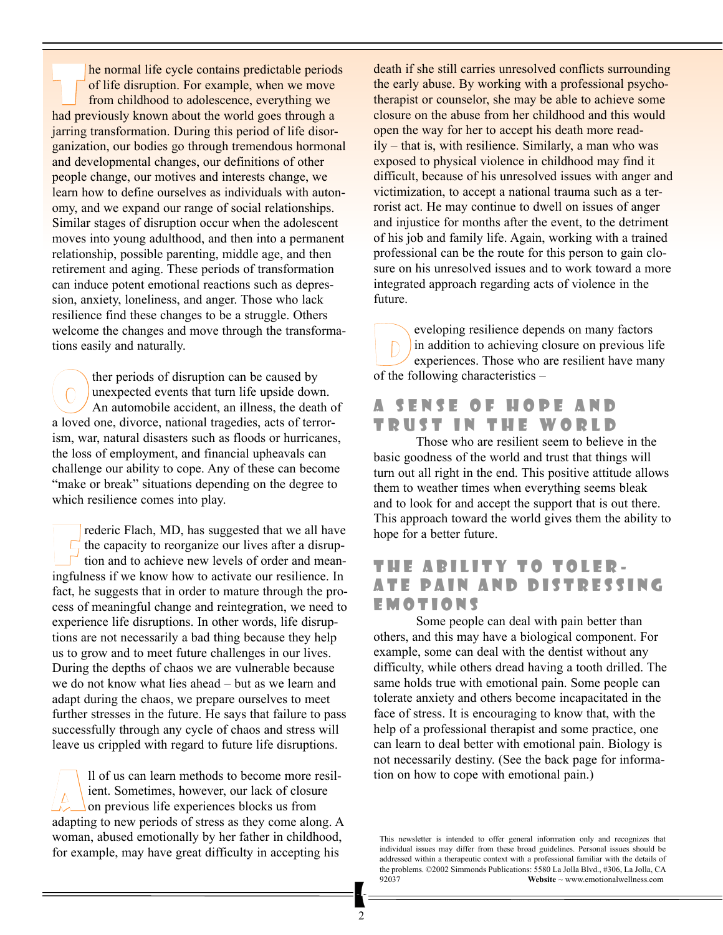The normal life cycle contains predictable periods<br>of life disruption. For example, when we move<br>from childhood to adolescence, everything we of life disruption. For example, when we move from childhood to adolescence, everything we had previously known about the world goes through a jarring transformation. During this period of life disorganization, our bodies go through tremendous hormonal and developmental changes, our definitions of other people change, our motives and interests change, we learn how to define ourselves as individuals with autonomy, and we expand our range of social relationships. Similar stages of disruption occur when the adolescent moves into young adulthood, and then into a permanent relationship, possible parenting, middle age, and then retirement and aging. These periods of transformation can induce potent emotional reactions such as depression, anxiety, loneliness, and anger. Those who lack resilience find these changes to be a struggle. Others welcome the changes and move through the transformations easily and naturally.

ther periods of disruption can be caused by unexpected events that turn life upside down. An automobile accident, an illness, the death of a loved one, divorce, national tragedies, acts of terrorism, war, natural disasters such as floods or hurricanes, the loss of employment, and financial upheavals can challenge our ability to cope. Any of these can become "make or break" situations depending on the degree to which resilience comes into play.

Frederic Flach, MD, has suggested that we all have<br>the capacity to reorganize our lives after a disrup-<br>tion and to achieve new levels of order and meanthe capacity to reorganize our lives after a disruption and to achieve new levels of order and meaningfulness if we know how to activate our resilience. In fact, he suggests that in order to mature through the process of meaningful change and reintegration, we need to experience life disruptions. In other words, life disruptions are not necessarily a bad thing because they help us to grow and to meet future challenges in our lives. During the depths of chaos we are vulnerable because we do not know what lies ahead – but as we learn and adapt during the chaos, we prepare ourselves to meet further stresses in the future. He says that failure to pass successfully through any cycle of chaos and stress will leave us crippled with regard to future life disruptions.

 $\begin{array}{|c|c|c|}\n\hline\n\multicolumn{1}{|c|}{\text{all of us can learn methods to become more resil-  
ient. Sometimes, however, our lack of closure on previous life experiences blocks us from}\n\hline\n\end{array}$ ient. Sometimes, however, our lack of closure on previous life experiences blocks us from adapting to new periods of stress as they come along. A woman, abused emotionally by her father in childhood, for example, may have great difficulty in accepting his

death if she still carries unresolved conflicts surrounding the early abuse. By working with a professional psychotherapist or counselor, she may be able to achieve some closure on the abuse from her childhood and this would open the way for her to accept his death more readily – that is, with resilience. Similarly, a man who was exposed to physical violence in childhood may find it difficult, because of his unresolved issues with anger and victimization, to accept a national trauma such as a terrorist act. He may continue to dwell on issues of anger and injustice for months after the event, to the detriment of his job and family life. Again, working with a trained professional can be the route for this person to gain closure on his unresolved issues and to work toward a more integrated approach regarding acts of violence in the future.

eveloping resilience depends on many factors<br>in addition to achieving closure on previous life<br>experiences. Those who are resilient have man in addition to achieving closure on previous life experiences. Those who are resilient have many of the following characteristics –

#### A SENSE OF HOPE AND TRUST IN THE WORLD

Those who are resilient seem to believe in the basic goodness of the world and trust that things will turn out all right in the end. This positive attitude allows them to weather times when everything seems bleak and to look for and accept the support that is out there. This approach toward the world gives them the ability to hope for a better future.

#### THE ABILITY TO TOLER-ATE PAIN AND DISTRESSING E m o t i o n s

Some people can deal with pain better than others, and this may have a biological component. For example, some can deal with the dentist without any difficulty, while others dread having a tooth drilled. The same holds true with emotional pain. Some people can tolerate anxiety and others become incapacitated in the face of stress. It is encouraging to know that, with the help of a professional therapist and some practice, one can learn to deal better with emotional pain. Biology is not necessarily destiny. (See the back page for information on how to cope with emotional pain.)

This newsletter is intended to offer general information only and recognizes that individual issues may differ from these broad guidelines. Personal issues should be addressed within a therapeutic context with a professional familiar with the details of the problems. ©2002 Simmonds Publications: 5580 La Jolla Blvd., #306, La Jolla, CA<br>92037 Website ~ www.emotionalwellness.com Website ~ www.emotionalwellness.com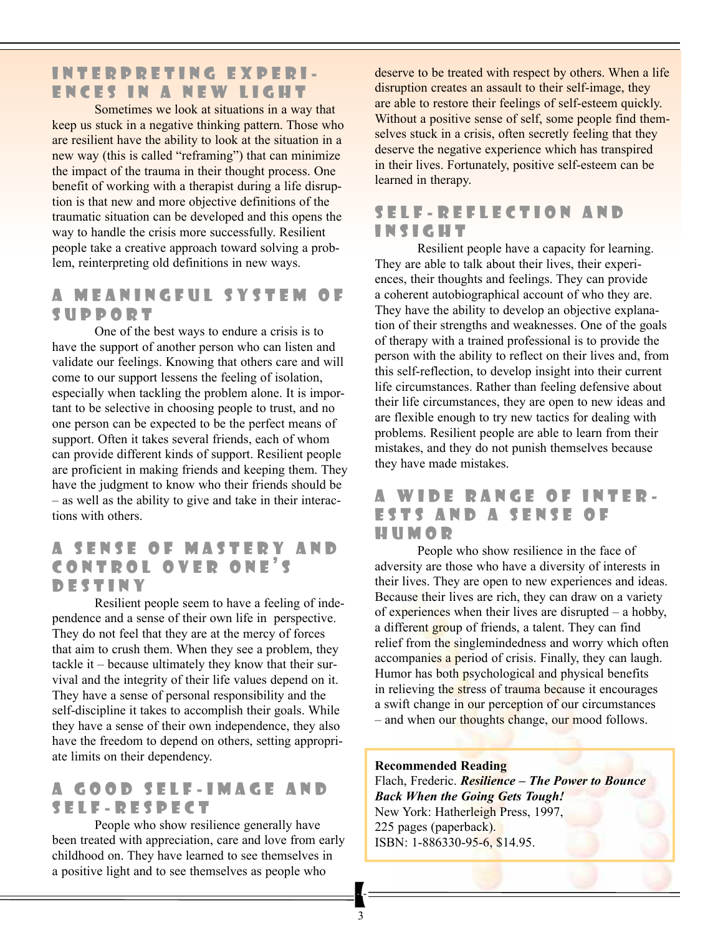#### INTERPRETING EXPERI-ENCES IN A NEW LIGHT

Sometimes we look at situations in a way that keep us stuck in a negative thinking pattern. Those who are resilient have the ability to look at the situation in a new way (this is called "reframing") that can minimize the impact of the trauma in their thought process. One benefit of working with a therapist during a life disruption is that new and more objective definitions of the traumatic situation can be developed and this opens the way to handle the crisis more successfully. Resilient people take a creative approach toward solving a problem, reinterpreting old definitions in new ways.

#### A MEANINGFUL SYSTEM OF SUPPORT

One of the best ways to endure a crisis is to have the support of another person who can listen and validate our feelings. Knowing that others care and will come to our support lessens the feeling of isolation, especially when tackling the problem alone. It is important to be selective in choosing people to trust, and no one person can be expected to be the perfect means of support. Often it takes several friends, each of whom can provide different kinds of support. Resilient people are proficient in making friends and keeping them. They have the judgment to know who their friends should be – as well as the ability to give and take in their interactions with others.

### A SENSE OF MASTERY AND CONTROL OVER ONE'S D e s t i n y

Resilient people seem to have a feeling of independence and a sense of their own life in perspective. They do not feel that they are at the mercy of forces that aim to crush them. When they see a problem, they tackle it – because ultimately they know that their survival and the integrity of their life values depend on it. They have a sense of personal responsibility and the self-discipline it takes to accomplish their goals. While they have a sense of their own independence, they also have the freedom to depend on others, setting appropriate limits on their dependency.

#### A GOOD SELF-IMAGE AND S e l f - R e s p e c t

People who show resilience generally have been treated with appreciation, care and love from early childhood on. They have learned to see themselves in a positive light and to see themselves as people who

deserve to be treated with respect by others. When a life disruption creates an assault to their self-image, they are able to restore their feelings of self-esteem quickly. Without a positive sense of self, some people find themselves stuck in a crisis, often secretly feeling that they deserve the negative experience which has transpired in their lives. Fortunately, positive self-esteem can be learned in therapy.

#### SELF-REFLECTION AND I n s i g h t

Resilient people have a capacity for learning. They are able to talk about their lives, their experiences, their thoughts and feelings. They can provide a coherent autobiographical account of who they are. They have the ability to develop an objective explanation of their strengths and weaknesses. One of the goals of therapy with a trained professional is to provide the person with the ability to reflect on their lives and, from this self-reflection, to develop insight into their current life circumstances. Rather than feeling defensive about their life circumstances, they are open to new ideas and are flexible enough to try new tactics for dealing with problems. Resilient people are able to learn from their mistakes, and they do not punish themselves because they have made mistakes.

#### A WIDE RANGE OF INTER-**ESTS AND A SENSE OF** H u m o r

People who show resilience in the face of adversity are those who have a diversity of interests in their lives. They are open to new experiences and ideas. Because their lives are rich, they can draw on a variety of experiences when their lives are disrupted – a hobby, a different group of friends, a talent. They can find relief from the singlemindedness and worry which often accompanies a period of crisis. Finally, they can laugh. Humor has both psychological and physical benefits in relieving the stress of trauma because it encourages a swift change in our perception of our circumstances – and when our thoughts change, our mood follows.

#### **Recommended Reading**

Flach, Frederic. *Resilience – The Power to Bounce Back When the Going Gets Tough!* New York: Hatherleigh Press, 1997, 225 pages (paperback). ISBN: 1-886330-95-6, \$14.95.